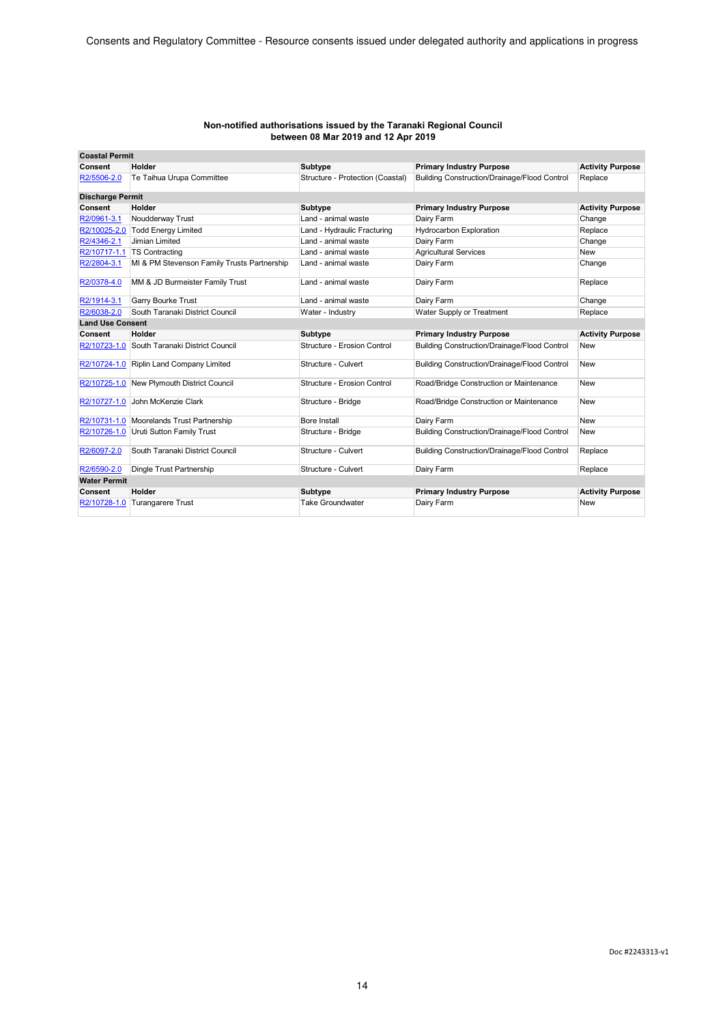| <b>Coastal Permit</b>   |                                              |                                  |                                                     |                         |
|-------------------------|----------------------------------------------|----------------------------------|-----------------------------------------------------|-------------------------|
| Consent                 | Holder                                       | Subtype                          | <b>Primary Industry Purpose</b>                     | <b>Activity Purpose</b> |
| R2/5506-2.0             | Te Taihua Urupa Committee                    | Structure - Protection (Coastal) | <b>Building Construction/Drainage/Flood Control</b> | Replace                 |
| <b>Discharge Permit</b> |                                              |                                  |                                                     |                         |
| Consent                 | Holder                                       | Subtype                          | <b>Primary Industry Purpose</b>                     | <b>Activity Purpose</b> |
| R2/0961-3.1             | Noudderway Trust                             | Land - animal waste              | Dairy Farm                                          | Change                  |
|                         | R2/10025-2.0 Todd Energy Limited             | Land - Hydraulic Fracturing      | <b>Hydrocarbon Exploration</b>                      | Replace                 |
| R2/4346-2.1             | Jimian Limited                               | Land - animal waste              | Dairy Farm                                          | Change                  |
|                         | R2/10717-1.1   TS Contracting                | Land - animal waste              | <b>Agricultural Services</b>                        | <b>New</b>              |
| R2/2804-3.1             | MI & PM Stevenson Family Trusts Partnership  | Land - animal waste              | Dairy Farm                                          | Change                  |
| R2/0378-4.0             | MM & JD Burmeister Family Trust              | Land - animal waste              | Dairy Farm                                          | Replace                 |
| R2/1914-3.1             | <b>Garry Bourke Trust</b>                    | Land - animal waste              | Dairy Farm                                          | Change                  |
| R2/6038-2.0             | South Taranaki District Council              | Water - Industry                 | Water Supply or Treatment                           | Replace                 |
| <b>Land Use Consent</b> |                                              |                                  |                                                     |                         |
| Consent                 | Holder                                       | Subtype                          | <b>Primary Industry Purpose</b>                     | <b>Activity Purpose</b> |
|                         | R2/10723-1.0 South Taranaki District Council | Structure - Erosion Control      | Building Construction/Drainage/Flood Control        | <b>New</b>              |
|                         | R2/10724-1.0 Riplin Land Company Limited     | Structure - Culvert              | Building Construction/Drainage/Flood Control        | <b>New</b>              |
|                         | R2/10725-1.0 New Plymouth District Council   | Structure - Erosion Control      | Road/Bridge Construction or Maintenance             | New                     |
| R2/10727-1.0            | John McKenzie Clark                          | Structure - Bridge               | Road/Bridge Construction or Maintenance             | <b>New</b>              |
|                         | R2/10731-1.0 Moorelands Trust Partnership    | Bore Install                     | Dairy Farm                                          | New                     |
|                         | R2/10726-1.0 Uruti Sutton Family Trust       | Structure - Bridge               | <b>Building Construction/Drainage/Flood Control</b> | <b>New</b>              |
| R2/6097-2.0             | South Taranaki District Council              | Structure - Culvert              | Building Construction/Drainage/Flood Control        | Replace                 |
| R2/6590-2.0             | Dingle Trust Partnership                     | Structure - Culvert              | Dairy Farm                                          | Replace                 |
| <b>Water Permit</b>     |                                              |                                  |                                                     |                         |
| Consent                 | Holder                                       | Subtype                          | <b>Primary Industry Purpose</b>                     | <b>Activity Purpose</b> |
| R2/10728-1.0            | Turangarere Trust                            | <b>Take Groundwater</b>          | Dairy Farm                                          | <b>New</b>              |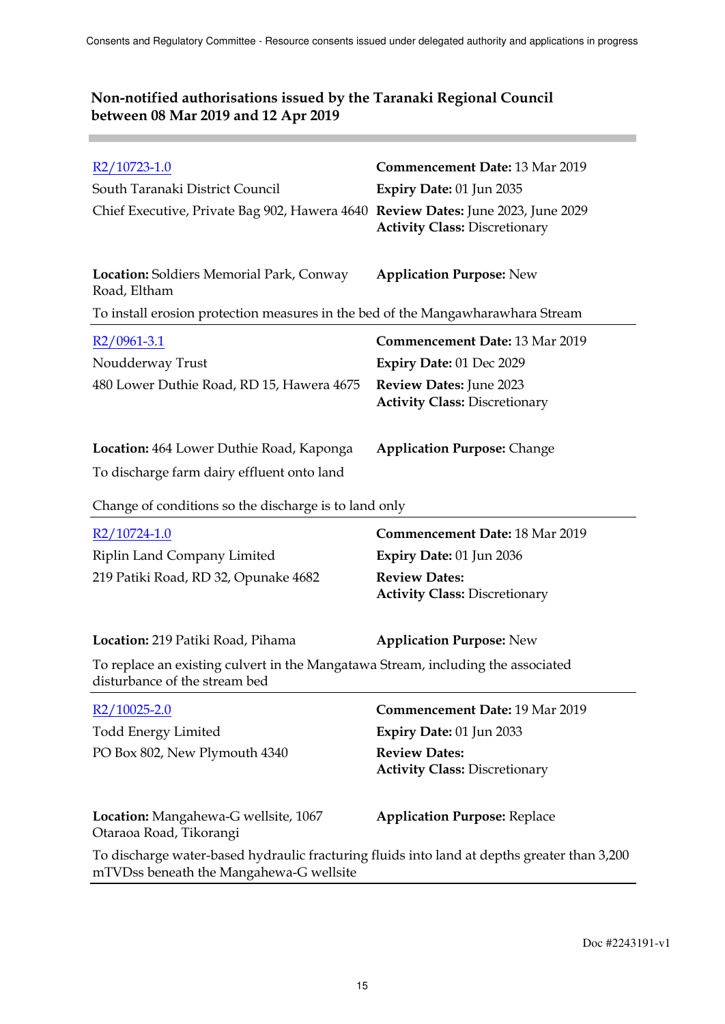**Contract** 

| R2/10723-1.0<br>South Taranaki District Council<br>Chief Executive, Private Bag 902, Hawera 4640 Review Dates: June 2023, June 2029 | <b>Commencement Date: 13 Mar 2019</b><br>Expiry Date: 01 Jun 2035<br><b>Activity Class: Discretionary</b> |
|-------------------------------------------------------------------------------------------------------------------------------------|-----------------------------------------------------------------------------------------------------------|
| <b>Location:</b> Soldiers Memorial Park, Conway<br>Road, Eltham                                                                     | <b>Application Purpose: New</b>                                                                           |
| To install erosion protection measures in the bed of the Mangawharawhara Stream                                                     |                                                                                                           |
| $R2/0961-3.1$                                                                                                                       | <b>Commencement Date: 13 Mar 2019</b>                                                                     |
| Noudderway Trust                                                                                                                    | <b>Expiry Date: 01 Dec 2029</b>                                                                           |
| 480 Lower Duthie Road, RD 15, Hawera 4675                                                                                           | Review Dates: June 2023<br><b>Activity Class: Discretionary</b>                                           |
| <b>Location:</b> 464 Lower Duthie Road, Kaponga                                                                                     | <b>Application Purpose: Change</b>                                                                        |
| To discharge farm dairy effluent onto land                                                                                          |                                                                                                           |
| Change of conditions so the discharge is to land only                                                                               |                                                                                                           |
|                                                                                                                                     |                                                                                                           |
| $R2/10724-1.0$                                                                                                                      | <b>Commencement Date: 18 Mar 2019</b>                                                                     |
| Riplin Land Company Limited                                                                                                         | Expiry Date: 01 Jun 2036                                                                                  |
| 219 Patiki Road, RD 32, Opunake 4682                                                                                                | <b>Review Dates:</b><br><b>Activity Class: Discretionary</b>                                              |
| Location: 219 Patiki Road, Pihama                                                                                                   | <b>Application Purpose: New</b>                                                                           |
| To replace an existing culvert in the Mangatawa Stream, including the associated<br>disturbance of the stream bed                   |                                                                                                           |
| R2/10025-2.0                                                                                                                        | <b>Commencement Date: 19 Mar 2019</b>                                                                     |
| <b>Todd Energy Limited</b>                                                                                                          | Expiry Date: 01 Jun 2033                                                                                  |
| PO Box 802, New Plymouth 4340                                                                                                       | <b>Review Dates:</b><br><b>Activity Class: Discretionary</b>                                              |
| Location: Mangahewa-G wellsite, 1067<br>Otaraoa Road, Tikorangi                                                                     | <b>Application Purpose: Replace</b>                                                                       |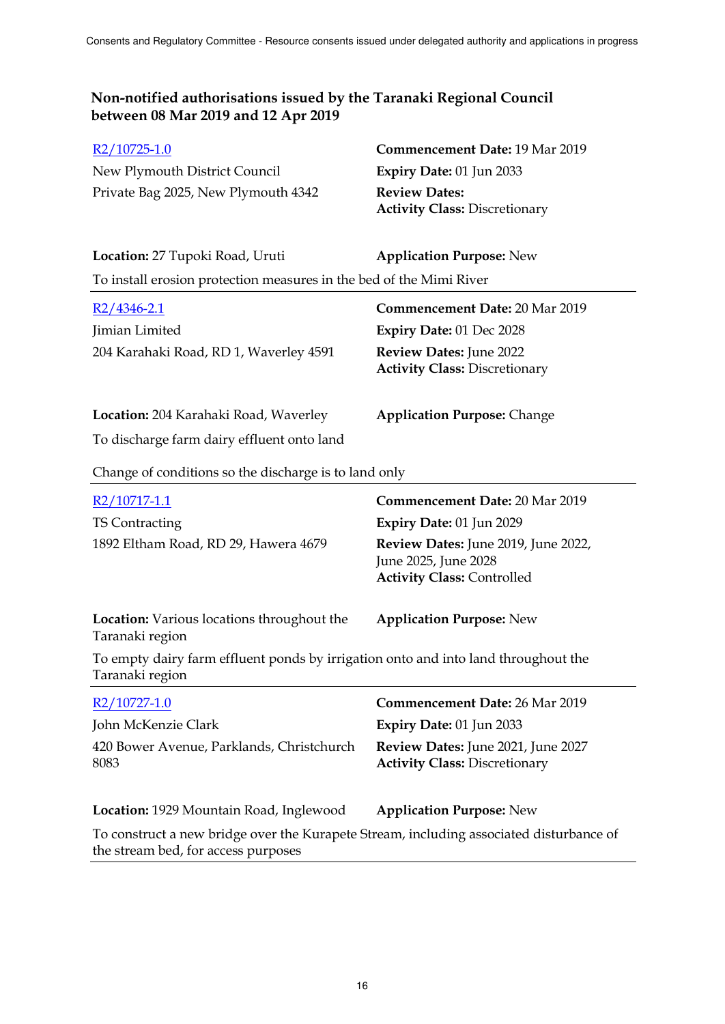| $R2/10725-1.0$                      | <b>Commencement Date: 19 Mar 2019</b> |
|-------------------------------------|---------------------------------------|
| New Plymouth District Council       | Expiry Date: $01$ Jun 2033            |
| Private Bag 2025, New Plymouth 4342 | <b>Review Dates:</b>                  |
|                                     | <b>Activity Class: Discretionary</b>  |

| Location: 27 Tupoki Road, Uruti                                     | <b>Application Purpose: New</b> |
|---------------------------------------------------------------------|---------------------------------|
| To install erosion protection measures in the bed of the Mimi River |                                 |

| $R2/4346 - 2.1$                        | <b>Commencement Date: 20 Mar 2019</b>                                  |
|----------------------------------------|------------------------------------------------------------------------|
| Jimian Limited                         | <b>Expiry Date: 01 Dec 2028</b>                                        |
| 204 Karahaki Road, RD 1, Waverley 4591 | <b>Review Dates: June 2022</b><br><b>Activity Class: Discretionary</b> |

# **Location:** 204 Karahaki Road, Waverley **Application Purpose:** Change

To discharge farm dairy effluent onto land

Change of conditions so the discharge is to land only

| R2/10717-1.1                                                                                                                   | <b>Commencement Date: 20 Mar 2019</b>                                                            |
|--------------------------------------------------------------------------------------------------------------------------------|--------------------------------------------------------------------------------------------------|
| TS Contracting                                                                                                                 | Expiry Date: 01 Jun 2029                                                                         |
| 1892 Eltham Road, RD 29, Hawera 4679                                                                                           | Review Dates: June 2019, June 2022,<br>June 2025, June 2028<br><b>Activity Class: Controlled</b> |
| <b>Location:</b> Various locations throughout the<br>Taranaki region                                                           | <b>Application Purpose: New</b>                                                                  |
| To empty dairy farm effluent ponds by irrigation onto and into land throughout the<br>Taranaki region                          |                                                                                                  |
| R2/10727-1.0                                                                                                                   | <b>Commencement Date: 26 Mar 2019</b>                                                            |
| John McKenzie Clark                                                                                                            | <b>Expiry Date: 01 Jun 2033</b>                                                                  |
| 420 Bower Avenue, Parklands, Christchurch<br>8083                                                                              | Review Dates: June 2021, June 2027<br><b>Activity Class: Discretionary</b>                       |
| Location: 1929 Mountain Road, Inglewood                                                                                        | <b>Application Purpose: New</b>                                                                  |
| To construct a new bridge over the Kurapete Stream, including associated disturbance of<br>the stream bed, for access purposes |                                                                                                  |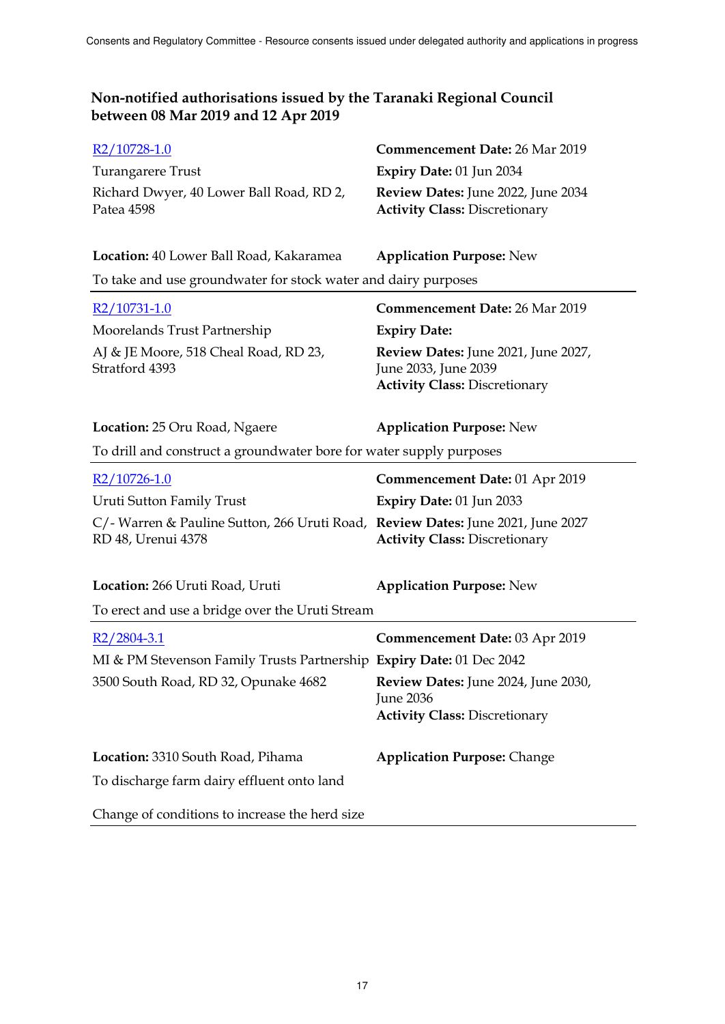| R <sub>2</sub> /10728-1.0                                                                             | <b>Commencement Date: 26 Mar 2019</b>                                                               |  |  |
|-------------------------------------------------------------------------------------------------------|-----------------------------------------------------------------------------------------------------|--|--|
| <b>Turangarere Trust</b>                                                                              | Expiry Date: 01 Jun 2034                                                                            |  |  |
| Richard Dwyer, 40 Lower Ball Road, RD 2,<br>Patea 4598                                                | Review Dates: June 2022, June 2034<br><b>Activity Class: Discretionary</b>                          |  |  |
|                                                                                                       |                                                                                                     |  |  |
| Location: 40 Lower Ball Road, Kakaramea                                                               | <b>Application Purpose: New</b>                                                                     |  |  |
| To take and use groundwater for stock water and dairy purposes                                        |                                                                                                     |  |  |
| R2/10731-1.0                                                                                          | <b>Commencement Date: 26 Mar 2019</b>                                                               |  |  |
| Moorelands Trust Partnership                                                                          | <b>Expiry Date:</b>                                                                                 |  |  |
| AJ & JE Moore, 518 Cheal Road, RD 23,<br>Stratford 4393                                               | Review Dates: June 2021, June 2027,<br>June 2033, June 2039<br><b>Activity Class: Discretionary</b> |  |  |
| Location: 25 Oru Road, Ngaere                                                                         | <b>Application Purpose: New</b>                                                                     |  |  |
| To drill and construct a groundwater bore for water supply purposes                                   |                                                                                                     |  |  |
| $R2/10726-1.0$                                                                                        | Commencement Date: 01 Apr 2019                                                                      |  |  |
| Uruti Sutton Family Trust                                                                             | Expiry Date: 01 Jun 2033                                                                            |  |  |
| C/- Warren & Pauline Sutton, 266 Uruti Road, Review Dates: June 2021, June 2027<br>RD 48, Urenui 4378 | <b>Activity Class: Discretionary</b>                                                                |  |  |
| Location: 266 Uruti Road, Uruti                                                                       | <b>Application Purpose: New</b>                                                                     |  |  |
| To erect and use a bridge over the Uruti Stream                                                       |                                                                                                     |  |  |
| $R2/2804-3.1$                                                                                         | <b>Commencement Date: 03 Apr 2019</b>                                                               |  |  |
| MI & PM Stevenson Family Trusts Partnership Expiry Date: 01 Dec 2042                                  |                                                                                                     |  |  |
| 3500 South Road, RD 32, Opunake 4682                                                                  | Review Dates: June 2024, June 2030,<br><b>June 2036</b><br><b>Activity Class: Discretionary</b>     |  |  |
| Location: 3310 South Road, Pihama                                                                     | <b>Application Purpose: Change</b>                                                                  |  |  |
| To discharge farm dairy effluent onto land                                                            |                                                                                                     |  |  |
| Change of conditions to increase the herd size                                                        |                                                                                                     |  |  |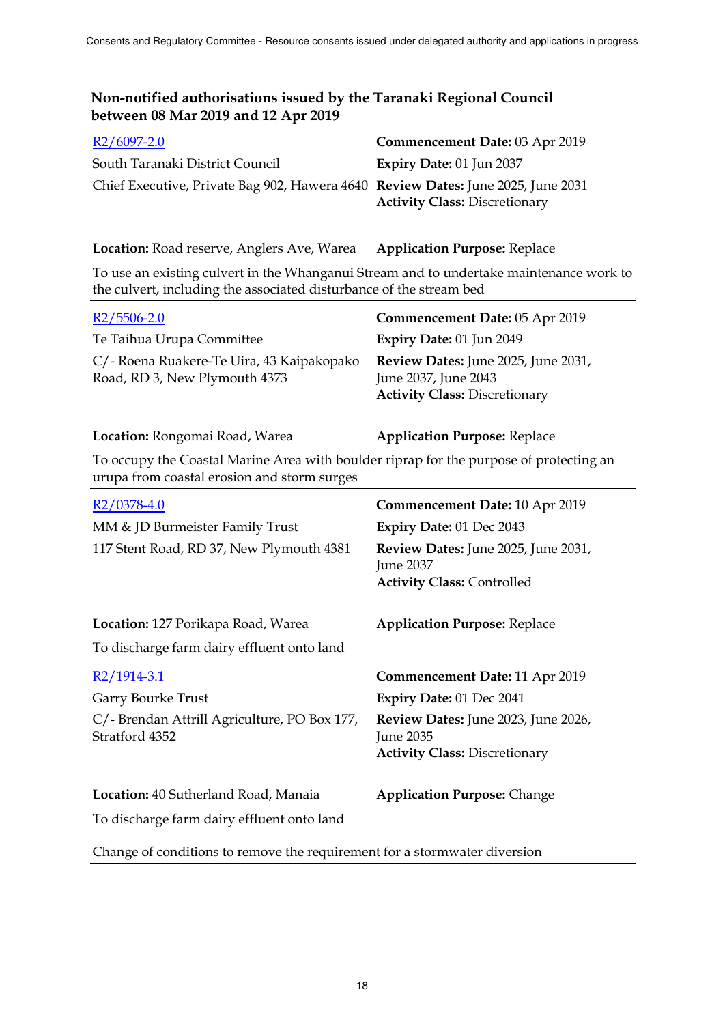| $R2/6097-2.0$                                                                    | Commencement Date: 03 Apr 2019       |
|----------------------------------------------------------------------------------|--------------------------------------|
| South Taranaki District Council                                                  | <b>Expiry Date: 01 Jun 2037</b>      |
| Chief Executive, Private Bag 902, Hawera 4640 Review Dates: June 2025, June 2031 | <b>Activity Class: Discretionary</b> |

**Location:** Road reserve, Anglers Ave, Warea **Application Purpose:** Replace

To use an existing culvert in the Whanganui Stream and to undertake maintenance work to the culvert, including the associated disturbance of the stream bed

| $R2/5506-2.0$                                                                                                                         | Commencement Date: 05 Apr 2019                                                                      |
|---------------------------------------------------------------------------------------------------------------------------------------|-----------------------------------------------------------------------------------------------------|
| Te Taihua Urupa Committee                                                                                                             | Expiry Date: 01 Jun 2049                                                                            |
| C/- Roena Ruakere-Te Uira, 43 Kaipakopako<br>Road, RD 3, New Plymouth 4373                                                            | Review Dates: June 2025, June 2031,<br>June 2037, June 2043<br><b>Activity Class: Discretionary</b> |
| Location: Rongomai Road, Warea                                                                                                        | <b>Application Purpose: Replace</b>                                                                 |
| To occupy the Coastal Marine Area with boulder riprap for the purpose of protecting an<br>urupa from coastal erosion and storm surges |                                                                                                     |
| $R2/0378-4.0$                                                                                                                         | <b>Commencement Date: 10 Apr 2019</b>                                                               |
| MM & JD Burmeister Family Trust                                                                                                       | Expiry Date: 01 Dec 2043                                                                            |
| 117 Stent Road, RD 37, New Plymouth 4381                                                                                              | <b>Review Dates:</b> June 2025, June 2031,<br>June 2037<br><b>Activity Class: Controlled</b>        |
| Location: 127 Porikapa Road, Warea<br>To discharge farm dairy effluent onto land                                                      | <b>Application Purpose: Replace</b>                                                                 |
| $R2/1914-3.1$                                                                                                                         | Commencement Date: 11 Apr 2019                                                                      |
| Garry Bourke Trust                                                                                                                    | Expiry Date: 01 Dec 2041                                                                            |

C/- Brendan Attrill Agriculture, PO Box 177, Stratford 4352 **Review Dates:** June 2023, June 2026, June 2035 **Activity Class:** Discretionary

**Location:** 40 Sutherland Road, Manaia **Application Purpose:** Change To discharge farm dairy effluent onto land

Change of conditions to remove the requirement for a stormwater diversion